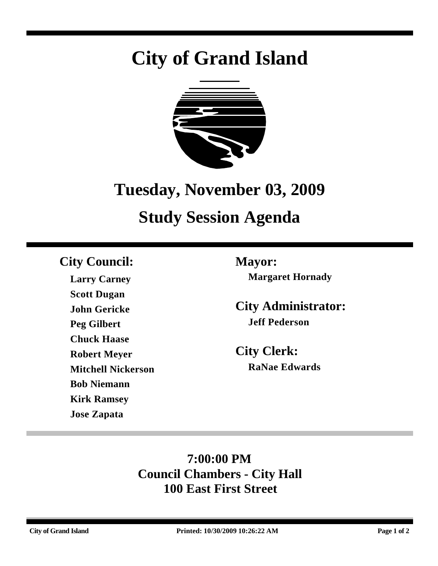# **City of Grand Island**



## **Tuesday, November 03, 2009**

## **Study Session Agenda**

## **City Council: Mayor:**

**Larry Carney Scott Dugan John Gericke Peg Gilbert Chuck Haase Robert Meyer Mitchell Nickerson Bob Niemann Kirk Ramsey Jose Zapata**

**Margaret Hornady**

**City Administrator: Jeff Pederson**

**City Clerk: RaNae Edwards**

## **7:00:00 PM Council Chambers - City Hall 100 East First Street**